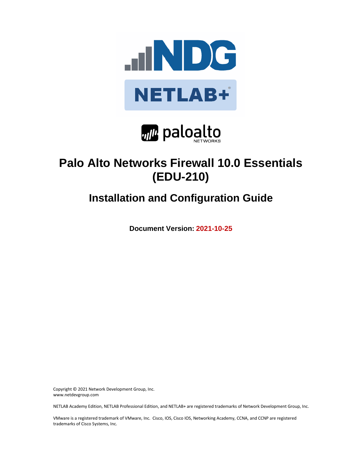



# **Palo Alto Networks Firewall 10.0 Essentials (EDU-210)**

# **Installation and Configuration Guide**

**Document Version: 2021-10-25**

Copyright © 2021 Network Development Group, Inc. www.netdevgroup.com

NETLAB Academy Edition, NETLAB Professional Edition, and NETLAB+ are registered trademarks of Network Development Group, Inc.

VMware is a registered trademark of VMware, Inc. Cisco, IOS, Cisco IOS, Networking Academy, CCNA, and CCNP are registered trademarks of Cisco Systems, Inc.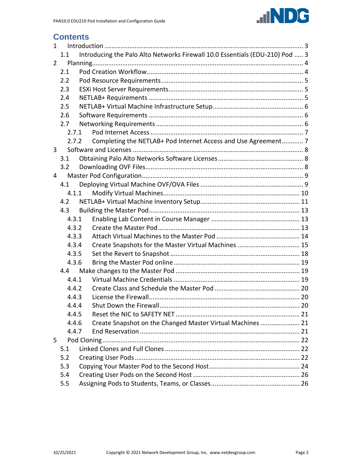

# **Contents**

| $\mathbf{1}$   |       |  |                                                                              |  |
|----------------|-------|--|------------------------------------------------------------------------------|--|
|                | 1.1   |  | Introducing the Palo Alto Networks Firewall 10.0 Essentials (EDU-210) Pod  3 |  |
| $\overline{2}$ |       |  |                                                                              |  |
|                | 2.1   |  |                                                                              |  |
|                | 2.2   |  |                                                                              |  |
|                | 2.3   |  |                                                                              |  |
|                | 2.4   |  |                                                                              |  |
|                | 2.5   |  |                                                                              |  |
|                | 2.6   |  |                                                                              |  |
|                | 2.7   |  |                                                                              |  |
|                | 2.7.1 |  |                                                                              |  |
|                | 2.7.2 |  | Completing the NETLAB+ Pod Internet Access and Use Agreement 7               |  |
| 3              |       |  |                                                                              |  |
|                | 3.1   |  |                                                                              |  |
|                | 3.2   |  |                                                                              |  |
| 4              |       |  |                                                                              |  |
|                | 4.1   |  |                                                                              |  |
|                | 4.1.1 |  |                                                                              |  |
|                | 4.2   |  |                                                                              |  |
|                | 4.3   |  |                                                                              |  |
|                | 4.3.1 |  |                                                                              |  |
|                | 4.3.2 |  |                                                                              |  |
|                | 4.3.3 |  |                                                                              |  |
|                | 4.3.4 |  | Create Snapshots for the Master Virtual Machines  15                         |  |
|                | 4.3.5 |  |                                                                              |  |
|                | 4.3.6 |  |                                                                              |  |
|                | 4.4   |  |                                                                              |  |
|                | 4.4.1 |  |                                                                              |  |
|                | 4.4.2 |  |                                                                              |  |
|                | 4.4.3 |  |                                                                              |  |
|                | 4.4.4 |  |                                                                              |  |
|                | 4.4.5 |  |                                                                              |  |
|                | 4.4.6 |  | Create Snapshot on the Changed Master Virtual Machines  21                   |  |
|                | 4.4.7 |  |                                                                              |  |
| 5              |       |  |                                                                              |  |
|                | 5.1   |  |                                                                              |  |
|                | 5.2   |  |                                                                              |  |
|                | 5.3   |  |                                                                              |  |
|                | 5.4   |  |                                                                              |  |
|                | 5.5   |  |                                                                              |  |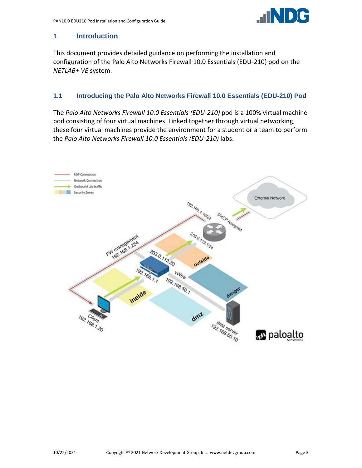

# <span id="page-2-0"></span>**1 Introduction**

This document provides detailed guidance on performing the installation and configuration of the Palo Alto Networks Firewall 10.0 Essentials (EDU-210) pod on the *NETLAB+ VE* system.

## <span id="page-2-1"></span>**1.1 Introducing the Palo Alto Networks Firewall 10.0 Essentials (EDU-210) Pod**

The *Palo Alto Networks Firewall 10.0 Essentials (EDU-210)* pod is a 100% virtual machine pod consisting of four virtual machines. Linked together through virtual networking, these four virtual machines provide the environment for a student or a team to perform the *Palo Alto Networks Firewall 10.0 Essentials (EDU-210)* labs.

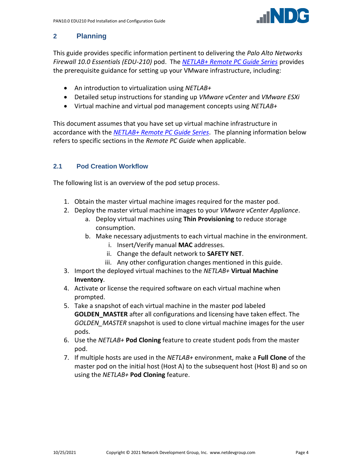

# <span id="page-3-0"></span>**2 Planning**

This guide provides specific information pertinent to delivering the *Palo Alto Networks Firewall 10.0 Essentials (EDU-210)* pod. The *[NETLAB+ Remote PC Guide Series](http://www.netdevgroup.com/support/documentation/netlabve/)* provides the prerequisite guidance for setting up your VMware infrastructure, including:

- An introduction to virtualization using *NETLAB+*
- Detailed setup instructions for standing up *VMware vCenter* and *VMware ESXi*
- Virtual machine and virtual pod management concepts using *NETLAB+*

This document assumes that you have set up virtual machine infrastructure in accordance with the *[NETLAB+ Remote PC Guide Series](http://www.netdevgroup.com/support/documentation/netlabve/)*. The planning information below refers to specific sections in the *Remote PC Guide* when applicable.

# <span id="page-3-1"></span>**2.1 Pod Creation Workflow**

The following list is an overview of the pod setup process.

- 1. Obtain the master virtual machine images required for the master pod.
- 2. Deploy the master virtual machine images to your *VMware vCenter Appliance*.
	- a. Deploy virtual machines using **Thin Provisioning** to reduce storage consumption.
	- b. Make necessary adjustments to each virtual machine in the environment.
		- i. Insert/Verify manual **MAC** addresses.
		- ii. Change the default network to **SAFETY NET**.
		- iii. Any other configuration changes mentioned in this guide.
- 3. Import the deployed virtual machines to the *NETLAB+* **Virtual Machine Inventory**.
- 4. Activate or license the required software on each virtual machine when prompted.
- 5. Take a snapshot of each virtual machine in the master pod labeled **GOLDEN\_MASTER** after all configurations and licensing have taken effect. The *GOLDEN\_MASTER* snapshot is used to clone virtual machine images for the user pods.
- 6. Use the *NETLAB+* **Pod Cloning** feature to create student pods from the master pod.
- 7. If multiple hosts are used in the *NETLAB+* environment, make a **Full Clone** of the master pod on the initial host (Host A) to the subsequent host (Host B) and so on using the *NETLAB+* **Pod Cloning** feature.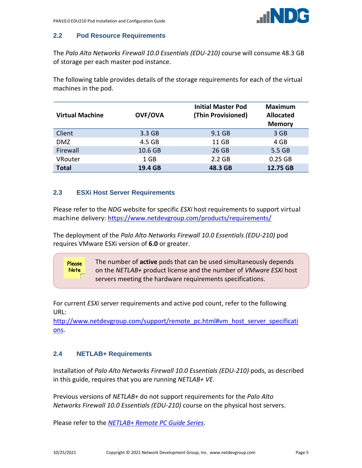

# <span id="page-4-0"></span>**2.2 Pod Resource Requirements**

The *Palo Alto Networks Firewall 10.0 Essentials (EDU-210)* course will consume 48.3 GB of storage per each master pod instance.

The following table provides details of the storage requirements for each of the virtual machines in the pod.

| <b>Virtual Machine</b> | <b>OVF/OVA</b> | <b>Initial Master Pod</b><br>(Thin Provisioned) | <b>Maximum</b><br><b>Allocated</b><br><b>Memory</b> |
|------------------------|----------------|-------------------------------------------------|-----------------------------------------------------|
| Client                 | 3.3 GB         | 9.1 GB                                          | 3 GB                                                |
| <b>DMZ</b>             | 4.5 GB         | 11 GB                                           | 4 GB                                                |
| Firewall               | 10.6 GB        | 26 GB                                           | 5.5 GB                                              |
| VRouter                | 1 GB           | 2.2 GB                                          | 0.25 GB                                             |
| <b>Total</b>           | 19.4 GB        | 48.3 GB                                         | 12.75 GB                                            |

# <span id="page-4-1"></span>**2.3 ESXi Host Server Requirements**

Please refer to the *NDG* website for specific *ESXi* host requirements to support virtual machine delivery: <https://www.netdevgroup.com/products/requirements/>

The deployment of the *Palo Alto Networks Firewall 10.0 Essentials (EDU-210)* pod requires VMware ESXi version of **6.0** or greater.

> The number of **active** pods that can be used simultaneously depends on the *NETLAB+* product license and the number of *VMware ESXi* host servers meeting the hardware requirements specifications.

For current *ESXi* server requirements and active pod count, refer to the following URL:

[http://www.netdevgroup.com/support/remote\\_pc.html#vm\\_host\\_server\\_specificati](http://www.netdevgroup.com/support/remote_pc.html#vm_host_server_specifications) [ons.](http://www.netdevgroup.com/support/remote_pc.html#vm_host_server_specifications)

# <span id="page-4-2"></span>**2.4 NETLAB+ Requirements**

Please **Note** 

Installation of *Palo Alto Networks Firewall 10.0 Essentials (EDU-210)* pods, as described in this guide, requires that you are running *NETLAB+ VE*.

Previous versions of *NETLAB+* do not support requirements for the *Palo Alto Networks Firewall 10.0 Essentials (EDU-210)* course on the physical host servers.

Please refer to the *[NETLAB+ Remote PC Guide Series](https://www.netdevgroup.com/support/documentation/netlabve/)*.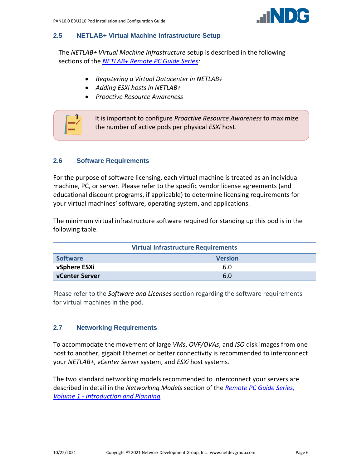

#### <span id="page-5-0"></span>**2.5 NETLAB+ Virtual Machine Infrastructure Setup**

The *NETLAB+ Virtual Machine Infrastructure* setup is described in the following sections of the *[NETLAB+ Remote PC Guide Series:](http://www.netdevgroup.com/support/documentation/netlabve/)*

- *Registering a Virtual Datacenter in NETLAB+*
- *Adding ESXi hosts in NETLAB+*
- *Proactive Resource Awareness*



#### <span id="page-5-1"></span>**2.6 Software Requirements**

For the purpose of software licensing, each virtual machine is treated as an individual machine, PC, or server. Please refer to the specific vendor license agreements (and educational discount programs, if applicable) to determine licensing requirements for your virtual machines' software, operating system, and applications.

The minimum virtual infrastructure software required for standing up this pod is in the following table.

| <b>Virtual Infrastructure Requirements</b> |                |  |  |  |
|--------------------------------------------|----------------|--|--|--|
| <b>Software</b>                            | <b>Version</b> |  |  |  |
| vSphere ESXi                               | 6.0            |  |  |  |
| <b>vCenter Server</b>                      | 6.0            |  |  |  |

Please refer to the *Software and Licenses* section regarding the software requirements for virtual machines in the pod.

#### <span id="page-5-2"></span>**2.7 Networking Requirements**

To accommodate the movement of large *VMs*, *OVF/OVAs*, and *ISO* disk images from one host to another, gigabit Ethernet or better connectivity is recommended to interconnect your *NETLAB+*, *vCenter Server* system, and *ESXi* host systems.

The two standard networking models recommended to interconnect your servers are described in detail in the *Networking Models* section of the *[Remote PC Guide Series,](http://www.netdevgroup.com/support/documentation/NETLAB_Remote_PC_Guide_Vol_1_Introduction.pdf)  Volume 1 - [Introduction and Planning.](http://www.netdevgroup.com/support/documentation/NETLAB_Remote_PC_Guide_Vol_1_Introduction.pdf)*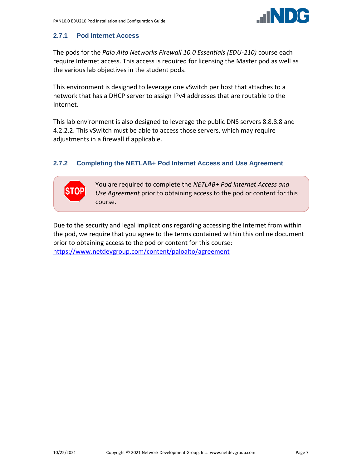

# <span id="page-6-0"></span>**2.7.1 Pod Internet Access**

The pods for the *Palo Alto Networks Firewall 10.0 Essentials (EDU-210)* course each require Internet access. This access is required for licensing the Master pod as well as the various lab objectives in the student pods.

This environment is designed to leverage one vSwitch per host that attaches to a network that has a DHCP server to assign IPv4 addresses that are routable to the Internet.

This lab environment is also designed to leverage the public DNS servers 8.8.8.8 and 4.2.2.2. This vSwitch must be able to access those servers, which may require adjustments in a firewall if applicable.

# <span id="page-6-1"></span>**2.7.2 Completing the NETLAB+ Pod Internet Access and Use Agreement**

You are required to complete the *NETLAB+ Pod Internet Access and Use Agreement* prior to obtaining access to the pod or content for this course.

Due to the security and legal implications regarding accessing the Internet from within the pod, we require that you agree to the terms contained within this online document prior to obtaining access to the pod or content for this course: <https://www.netdevgroup.com/content/paloalto/agreement>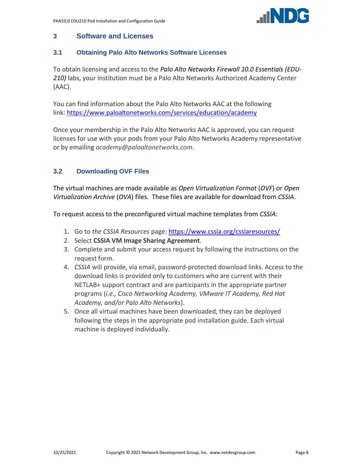

#### <span id="page-7-0"></span>**3 Software and Licenses**

#### <span id="page-7-1"></span>**3.1 Obtaining Palo Alto Networks Software Licenses**

To obtain licensing and access to the *Palo Alto Networks Firewall 10.0 Essentials (EDU-210)* labs, your institution must be a Palo Alto Networks Authorized Academy Center (AAC).

You can find information about the Palo Alto Networks AAC at the following link: [https://www.paloaltonetworks.com/services/education/academy](https://www.google.com/url?q=https%3A%2F%2Fwww.paloaltonetworks.com%2Fservices%2Feducation%2Facademy&sa=D&sntz=1&usg=AFQjCNElboj6ABePekBNHXI-6d-e8LM61g)

Once your membership in the Palo Alto Networks AAC is approved, you can request licenses for use with your pods from your Palo Alto Networks Academy representative or by emailing *academy@paloaltonetworks.com*.

# <span id="page-7-2"></span>**3.2 Downloading OVF Files**

The virtual machines are made available as *Open Virtualization Format* (*OVF*) or *Open Virtualization Archive* (*OVA*) files. These files are available for download from *CSSIA*.

To request access to the preconfigured virtual machine templates from *CSSIA*:

- 1. Go to *the CSSIA Resources* page: <https://www.cssia.org/cssiaresources/>
- 2. Select **CSSIA VM Image Sharing Agreement**.
- 3. Complete and submit your access request by following the instructions on the request form.
- 4. *CSSIA* will provide, via email, password-protected download links. Access to the download links is provided only to customers who are current with their NETLAB+ support contract and are participants in the appropriate partner programs (*i.e., Cisco Networking Academy, VMware IT Academy, Red Hat Academy, and/or Palo Alto Networks*).
- 5. Once all virtual machines have been downloaded, they can be deployed following the steps in the appropriate pod installation guide. Each virtual machine is deployed individually.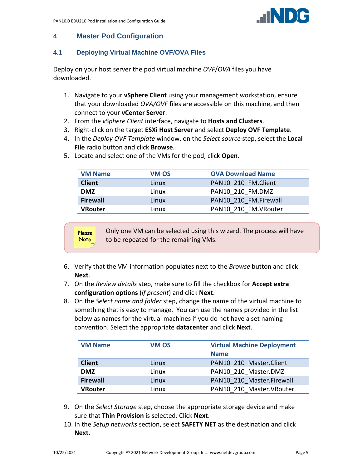

# <span id="page-8-0"></span>**4 Master Pod Configuration**

# <span id="page-8-1"></span>**4.1 Deploying Virtual Machine OVF/OVA Files**

Deploy on your host server the pod virtual machine *OVF*/*OVA* files you have downloaded.

- 1. Navigate to your **vSphere Client** using your management workstation, ensure that your downloaded *OVA/OVF* files are accessible on this machine, and then connect to your **vCenter Server**.
- 2. From the *vSphere Client* interface, navigate to **Hosts and Clusters**.
- 3. Right-click on the target **ESXi Host Server** and select **Deploy OVF Template**.
- 4. In the *Deploy OVF Template* window, on the *Select source* step, select the **Local File** radio button and click **Browse**.

| <b>VM Name</b>  | VM OS | <b>OVA Download Name</b> |
|-----------------|-------|--------------------------|
| <b>Client</b>   | Linux | PAN10 210 FM.Client      |
| <b>DMZ</b>      | Linux | PAN10 210 FM.DMZ         |
| <b>Firewall</b> | Linux | PAN10 210 FM.Firewall    |
| <b>VRouter</b>  | Linux | PAN10 210 FM. VRouter    |
|                 |       |                          |

5. Locate and select one of the VMs for the pod, click **Open**.

Only one VM can be selected using this wizard. The process will have Please **Note** to be repeated for the remaining VMs.

- 6. Verify that the VM information populates next to the *Browse* button and click **Next**.
- 7. On the *Review details* step, make sure to fill the checkbox for **Accept extra configuration options** (*if present*) and click **Next**.
- 8. On the *Select name and folder* step, change the name of the virtual machine to something that is easy to manage. You can use the names provided in the list below as names for the virtual machines if you do not have a set naming convention. Select the appropriate **datacenter** and click **Next**.

| <b>VM Name</b>  | <b>VM OS</b> | <b>Virtual Machine Deployment</b><br><b>Name</b> |
|-----------------|--------------|--------------------------------------------------|
| <b>Client</b>   | Linux        | PAN10 210 Master.Client                          |
| <b>DMZ</b>      | Linux        | PAN10 210 Master.DMZ                             |
| <b>Firewall</b> | Linux        | PAN10 210 Master.Firewall                        |
| <b>VRouter</b>  | Linux        | PAN10 210 Master. VRouter                        |

- 9. On the *Select Storage* step, choose the appropriate storage device and make sure that **Thin Provision** is selected. Click **Next**.
- 10. In the *Setup networks* section, select **SAFETY NET** as the destination and click **Next.**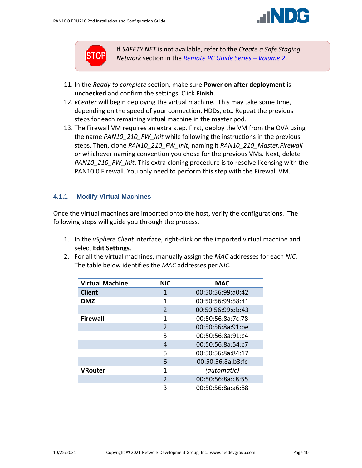



If *SAFETY NET* is not available, refer to the *Create a Safe Staging Network* section in the *[Remote PC Guide Series](http://www.netdevgroup.com/support/documentation/NETLAB_Remote_PC_Guide_Vol_2_Installation.pdf) – Volume 2*.

- 11. In the *Ready to complete* section, make sure **Power on after deployment** is **unchecked** and confirm the settings. Click **Finish**.
- 12. *vCenter* will begin deploying the virtual machine. This may take some time, depending on the speed of your connection, HDDs, etc. Repeat the previous steps for each remaining virtual machine in the master pod.
- 13. The Firewall VM requires an extra step. First, deploy the VM from the OVA using the name *PAN10\_210\_FW\_Init* while following the instructions in the previous steps. Then, clone *PAN10\_210\_FW\_Init*, naming it *PAN10\_210\_Master.Firewall* or whichever naming convention you chose for the previous VMs. Next, delete *PAN10\_210\_FW\_Init*. This extra cloning procedure is to resolve licensing with the PAN10.0 Firewall. You only need to perform this step with the Firewall VM.

# <span id="page-9-0"></span>**4.1.1 Modify Virtual Machines**

Once the virtual machines are imported onto the host, verify the configurations. The following steps will guide you through the process.

- 1. In the *vSphere Client* interface, right-click on the imported virtual machine and select **Edit Settings**.
- 2. For all the virtual machines, manually assign the *MAC* addresses for each *NIC*. The table below identifies the *MAC* addresses per *NIC*.

| <b>Virtual Machine</b> | <b>NIC</b>     | <b>MAC</b>        |
|------------------------|----------------|-------------------|
| <b>Client</b>          | 1              | 00:50:56:99:a0:42 |
| <b>DMZ</b>             | 1              | 00:50:56:99:58:41 |
|                        | $\mathfrak{D}$ | 00:50:56:99:db:43 |
| <b>Firewall</b>        | 1              | 00:50:56:8a:7c:78 |
|                        | $\mathfrak{D}$ | 00:50:56:8a:91:be |
|                        | 3              | 00:50:56:8a:91:c4 |
|                        | 4              | 00:50:56:8a:54:c7 |
|                        | 5              | 00:50:56:8a:84:17 |
|                        | 6              | 00:50:56:8a:b3:fc |
| <b>VRouter</b>         | 1              | (automatic)       |
|                        | $\mathfrak{D}$ | 00:50:56:8a:c8:55 |
|                        | 3              | 00:50:56:8a:a6:88 |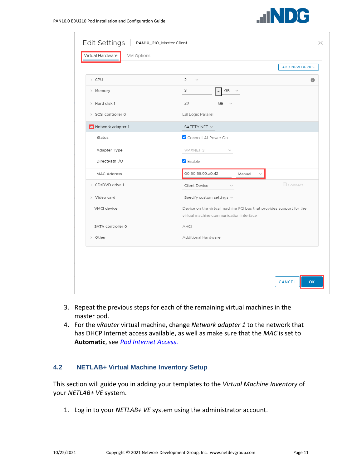

|                     |                                                                                                                | <b>ADD NEW DEVICE</b> |
|---------------------|----------------------------------------------------------------------------------------------------------------|-----------------------|
| > CPU               | 2<br>$\sim$                                                                                                    | $\theta$              |
| > Memory            | 3<br>GB<br>$\checkmark$                                                                                        |                       |
| $>$ Hard disk 1     | 20<br>$GB \quad \lor$                                                                                          |                       |
| > SCSI controller 0 | LSI Logic Parallel                                                                                             |                       |
| Metwork adapter 1   | SAFETY NET V                                                                                                   |                       |
| Status              | Connect At Power On                                                                                            |                       |
| Adapter Type        | VMXNET 3<br>$\searrow$                                                                                         |                       |
| DirectPath I/O      | $\blacksquare$ Enable                                                                                          |                       |
| <b>MAC Address</b>  | 00:50:56:99:a0:42<br>Manual<br>$\sim$                                                                          |                       |
| > CD/DVD drive 1    | Connect<br>Client Device<br>$\sim$                                                                             |                       |
| > Video card        | Specify custom settings $\vee$                                                                                 |                       |
| VMCI device         | Device on the virtual machine PCI bus that provides support for the<br>virtual machine communication interface |                       |
| SATA controller 0   | AHCI                                                                                                           |                       |
| > Other             | Additional Hardware                                                                                            |                       |
|                     |                                                                                                                |                       |
|                     |                                                                                                                |                       |

- 3. Repeat the previous steps for each of the remaining virtual machines in the master pod.
- 4. For the *vRouter* virtual machine, change *Network adapter 1* to the network that has DHCP Internet access available, as well as make sure that the *MAC* is set to **Automatic**, see *[Pod Internet Access](#page-6-0)*.

#### <span id="page-10-0"></span>**4.2 NETLAB+ Virtual Machine Inventory Setup**

This section will guide you in adding your templates to the *Virtual Machine Inventory* of your *NETLAB+ VE* system.

1. Log in to your *NETLAB+ VE* system using the administrator account.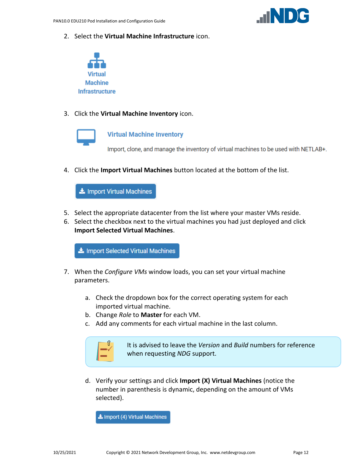

2. Select the **Virtual Machine Infrastructure** icon.



3. Click the **Virtual Machine Inventory** icon.



#### **Virtual Machine Inventory**

Import, clone, and manage the inventory of virtual machines to be used with NETLAB+.

4. Click the **Import Virtual Machines** button located at the bottom of the list.

Import Virtual Machines

- 5. Select the appropriate datacenter from the list where your master VMs reside.
- 6. Select the checkbox next to the virtual machines you had just deployed and click **Import Selected Virtual Machines**.

Import Selected Virtual Machines

- 7. When the *Configure VMs* window loads, you can set your virtual machine parameters.
	- a. Check the dropdown box for the correct operating system for each imported virtual machine.
	- b. Change *Role* to **Master** for each VM.
	- c. Add any comments for each virtual machine in the last column.



It is advised to leave the *Version* and *Build* numbers for reference when requesting *NDG* support.

d. Verify your settings and click **Import (X) Virtual Machines** (notice the number in parenthesis is dynamic, depending on the amount of VMs selected).

Let Import (4) Virtual Machines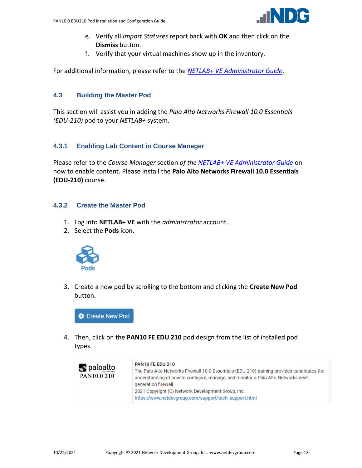

- e. Verify all *Import Statuses* report back with **OK** and then click on the **Dismiss** button.
- f. Verify that your virtual machines show up in the inventory.

For additional information, please refer to the *[NETLAB+ VE Administrator Guide](http://www.netdevgroup.com/support/documentation/netlabve/netlabve_administrator_guide.pdf#nameddest=virtual_machine_infrastructure)*.

## <span id="page-12-0"></span>**4.3 Building the Master Pod**

This section will assist you in adding the *Palo Alto Networks Firewall 10.0 Essentials (EDU-210)* pod to your *NETLAB+* system.

#### <span id="page-12-1"></span>**4.3.1 Enabling Lab Content in Course Manager**

Please refer to the *Course Manager* section *of the [NETLAB+ VE Administrator Guide](https://www.netdevgroup.com/support/documentation/netlabve/netlabve_administrator_guide.pdf#nameddest=course_manager)* on how to enable content. Please install the **Palo Alto Networks Firewall 10.0 Essentials (EDU-210)** course.

#### <span id="page-12-2"></span>**4.3.2 Create the Master Pod**

- 1. Log into **NETLAB+ VE** with the *administrator* account.
- 2. Select the **Pods** icon.



3. Create a new pod by scrolling to the bottom and clicking the **Create New Pod** button.



4. Then, click on the **PAN10 FE EDU 210** pod design from the list of installed pod types.

| <b><i>m</i></b> palo <u>alto</u><br>PAN10.0 210 | <b>PAN10 FE EDU 210</b><br>The Palo Alto Networks Firewall 10.0 Essentials (EDU-210) training provides candidates the<br>understanding of how to configure, manage, and monitor a Palo Alto Networks next-<br>generation firewall.<br>2021 Copyright (C) Network Development Group, Inc.<br>https://www.netdevgroup.com/support/tech_support.html |
|-------------------------------------------------|---------------------------------------------------------------------------------------------------------------------------------------------------------------------------------------------------------------------------------------------------------------------------------------------------------------------------------------------------|
|-------------------------------------------------|---------------------------------------------------------------------------------------------------------------------------------------------------------------------------------------------------------------------------------------------------------------------------------------------------------------------------------------------------|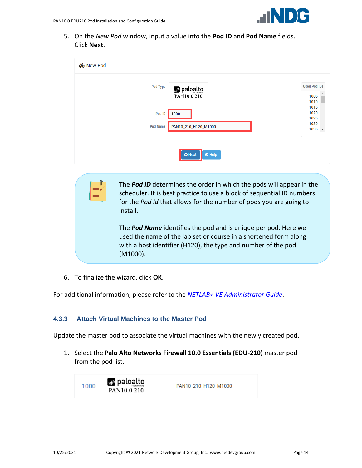

5. On the *New Pod* window, input a value into the **Pod ID** and **Pod Name** fields. Click **Next**.

| & New Pod                                                  |                                     |
|------------------------------------------------------------|-------------------------------------|
| <b>Pod Type</b><br><b><i>m</i></b> paloalto<br>PAN10.0 210 | <b>Used Pod IDs</b><br>1005<br>1010 |
| Pod ID<br>1000                                             | 1015<br>1020<br>1025                |
| <b>Pod Name</b><br>PAN10_210_H120_M1000                    | 1030<br>$1035 -$                    |
| $\Theta$ Help<br><b>O</b> Next                             |                                     |

The *Pod ID* determines the order in which the pods will appear in the scheduler. It is best practice to use a block of sequential ID numbers for the *Pod Id* that allows for the number of pods you are going to install.

The *Pod Name* identifies the pod and is unique per pod. Here we used the name of the lab set or course in a shortened form along with a host identifier (H120), the type and number of the pod (M1000).

6. To finalize the wizard, click **OK**.

For additional information, please refer to the *NETLAB+ VE [Administrator Guide](http://www.netdevgroup.com/support/documentation/netlabve/netlabve_administrator_guide.pdf)*.

# <span id="page-13-0"></span>**4.3.3 Attach Virtual Machines to the Master Pod**

Update the master pod to associate the virtual machines with the newly created pod.

1. Select the **Palo Alto Networks Firewall 10.0 Essentials (EDU-210)** master pod from the pod list.

| <i>ull</i> palo <u>alto</u><br>1000<br>PAN10_210_H120_M1000<br>NETWORKS<br>PAN10.0 210 |
|----------------------------------------------------------------------------------------|
|                                                                                        |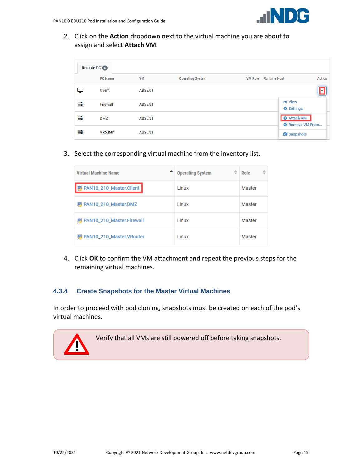2. Click on the **Action** dropdown next to the virtual machine you are about to assign and select **Attach VM**.

|   | Remote PC 4    |               |                         |                                               |               |  |  |
|---|----------------|---------------|-------------------------|-----------------------------------------------|---------------|--|--|
|   | <b>PC Name</b> | <b>VM</b>     | <b>Operating System</b> | <b>VM Role</b><br><b>Runtime Host</b>         | <b>Action</b> |  |  |
|   | Client         | <b>ABSENT</b> |                         |                                               |               |  |  |
| 葺 | Firewall       | <b>ABSENT</b> |                         | <b>♦ Settings</b>                             |               |  |  |
| 葺 | <b>DMZ</b>     | <b>ABSENT</b> |                         | <b>O</b> Attach VM<br><b>O</b> Remove VM From |               |  |  |
| ≣ | <b>VRouter</b> | <b>ABSENT</b> |                         | <b>O</b> Snapshots                            |               |  |  |

3. Select the corresponding virtual machine from the inventory list.

| <b>Virtual Machine Name</b> | ÷<br><b>Operating System</b> | ≐<br>Role |
|-----------------------------|------------------------------|-----------|
| PAN10_210_Master.Client     | Linux                        | Master    |
| PAN10_210_Master.DMZ        | Linux                        | Master    |
| PAN10_210_Master.Firewall   | Linux                        | Master    |
| PAN10_210_Master.VRouter    | 1 inux                       | Master    |

4. Click **OK** to confirm the VM attachment and repeat the previous steps for the remaining virtual machines.

#### <span id="page-14-0"></span>**4.3.4 Create Snapshots for the Master Virtual Machines**

In order to proceed with pod cloning, snapshots must be created on each of the pod's virtual machines.

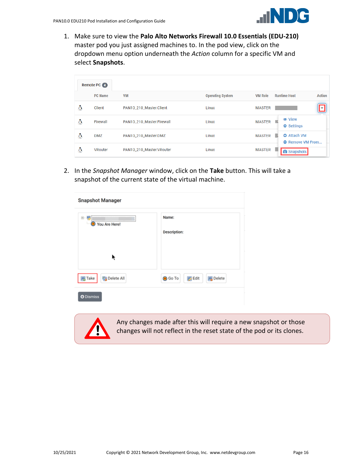

1. Make sure to view the **Palo Alto Networks Firewall 10.0 Essentials (EDU-210)** master pod you just assigned machines to. In the pod view, click on the dropdown menu option underneath the *Action* column for a specific VM and select **Snapshots**.

|   | Remote PC 4    |                           |                         |                |                                                    |
|---|----------------|---------------------------|-------------------------|----------------|----------------------------------------------------|
|   | <b>PC Name</b> | <b>VM</b>                 | <b>Operating System</b> | <b>VM Role</b> | <b>Action</b><br><b>Runtime Host</b>               |
| Δ | Client         | PAN10_210_Master.Client   | Linux                   | <b>MASTER</b>  | ۰I                                                 |
| Δ | Firewall       | PAN10_210_Master.Firewall | Linux                   | <b>MASTER</b>  | <b>♦ Settings</b>                                  |
| Δ | <b>DMZ</b>     | PAN10_210_Master.DMZ      | Linux                   | <b>MASTER</b>  | <b>O</b> Attach VM<br>٠<br><b>A</b> Remove VM From |
| Δ | VRouter        | PAN10_210_Master.VRouter  | Linux                   | <b>MASTER</b>  | <b>O</b><br>Snapshots                              |

2. In the *Snapshot Manager* window, click on the **Take** button. This will take a snapshot of the current state of the virtual machine.

| <b>Snapshot Manager</b>          |                                                    |
|----------------------------------|----------------------------------------------------|
| 白星<br>You Are Here!<br>$\bullet$ | Name:<br><b>Description:</b>                       |
| ŕ                                |                                                    |
| <b>同</b> Take<br>Delete All      | <b>B</b> Delete<br><b>O</b> Go To<br><b>B</b> Edit |
| <b>O</b> Dismiss                 |                                                    |



Any changes made after this will require a new snapshot or those changes will not reflect in the reset state of the pod or its clones.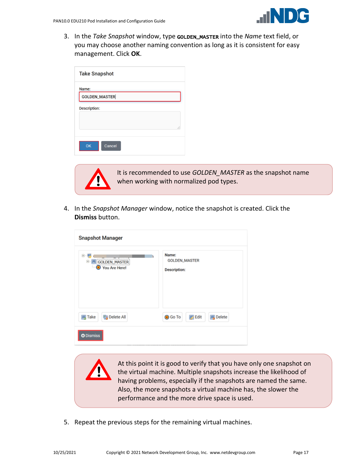3. In the *Take Snapshot* window, type GOLDEN\_MASTER into the *Name* text field, or you may choose another naming convention as long as it is consistent for easy management. Click **OK**.

| <b>Take Snapshot</b> |    |
|----------------------|----|
| Name:                |    |
| <b>GOLDEN_MASTER</b> |    |
| <b>Description:</b>  |    |
|                      |    |
|                      | d. |
|                      |    |
| OK<br>Cancel         |    |
|                      |    |



It is recommended to use *GOLDEN\_MASTER* as the snapshot name when working with normalized pod types.

4. In the *Snapshot Manager* window, notice the snapshot is created. Click the **Dismiss** button.

| <b>Snapshot Manager</b>                  |                                                      |  |  |  |
|------------------------------------------|------------------------------------------------------|--|--|--|
| e<br>GOLDEN_MASTER<br>Θ<br>You Are Here! | Name:<br><b>GOLDEN_MASTER</b><br><b>Description:</b> |  |  |  |
| <b>B</b> Delete All<br><b>马 Take</b>     | <b>B</b> Edit<br><b>風</b> Delete<br><b>O</b> Go To   |  |  |  |
| <b>O</b> Dismiss                         |                                                      |  |  |  |

At this point it is good to verify that you have only one snapshot on the virtual machine. Multiple snapshots increase the likelihood of having problems, especially if the snapshots are named the same. Also, the more snapshots a virtual machine has, the slower the performance and the more drive space is used.

5. Repeat the previous steps for the remaining virtual machines.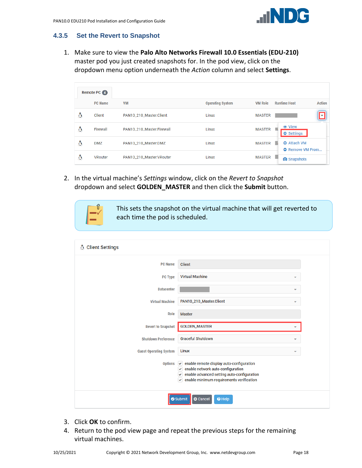

# <span id="page-17-0"></span>**4.3.5 Set the Revert to Snapshot**

1. Make sure to view the **Palo Alto Networks Firewall 10.0 Essentials (EDU-210)** master pod you just created snapshots for. In the pod view, click on the dropdown menu option underneath the *Action* column and select **Settings**.

|   | Remote PC 4    |                           |                         |                |                                           |               |
|---|----------------|---------------------------|-------------------------|----------------|-------------------------------------------|---------------|
|   | <b>PC Name</b> | <b>VM</b>                 | <b>Operating System</b> | <b>VM Role</b> | <b>Runtime Host</b>                       | <b>Action</b> |
| ۵ | Client         | PAN10_210_Master.Client   | Linux                   | <b>MASTER</b>  |                                           | ÷             |
| ۵ | Firewall       | PAN10_210_Master.Firewall | Linux                   | <b>MASTER</b>  | <b>T</b> View<br><b>♦ Settings</b>        |               |
| Δ | <b>DMZ</b>     | PAN10_210_Master.DMZ      | Linux                   | <b>MASTER</b>  | <b>O</b> Attach VM<br>ш<br>Remove VM From |               |
| Δ | VRouter        | PAN10_210_Master.VRouter  | Linux                   | <b>MASTER</b>  | ٠<br><b>O</b> Snapshots                   |               |

2. In the virtual machine's *Settings* window, click on the *Revert to Snapshot* dropdown and select **GOLDEN\_MASTER** and then click the **Submit** button.



This sets the snapshot on the virtual machine that will get reverted to each time the pod is scheduled.

| <b>Client Settings</b><br>₩   |                                                                                                                                                                                                                                                     |  |
|-------------------------------|-----------------------------------------------------------------------------------------------------------------------------------------------------------------------------------------------------------------------------------------------------|--|
| <b>PC Name</b>                | <b>Client</b>                                                                                                                                                                                                                                       |  |
| PC Type                       | <b>Virtual Machine</b><br>$\overline{\phantom{a}}$                                                                                                                                                                                                  |  |
| <b>Datacenter</b>             | $\overline{\phantom{a}}$                                                                                                                                                                                                                            |  |
| <b>Virtual Machine</b>        | PAN10_210_Master.Client                                                                                                                                                                                                                             |  |
| Role                          | <b>Master</b>                                                                                                                                                                                                                                       |  |
| <b>Revert to Snapshot</b>     | <b>GOLDEN_MASTER</b>                                                                                                                                                                                                                                |  |
| <b>Shutdown Preference</b>    | <b>Graceful Shutdown</b><br>▼                                                                                                                                                                                                                       |  |
| <b>Guest Operating System</b> | Linux<br>٠                                                                                                                                                                                                                                          |  |
| <b>Options</b>                | $\blacktriangleright$ enable remote display auto-configuration<br>$\blacktriangleright$ enable network auto-configuration<br>enable advanced setting auto-configuration<br>$\checkmark$<br>enable minimum requirements verification<br>$\checkmark$ |  |
|                               | $\Theta$ Help<br><b>O</b> Cancel<br>Submit                                                                                                                                                                                                          |  |

- 3. Click **OK** to confirm.
- 4. Return to the pod view page and repeat the previous steps for the remaining virtual machines.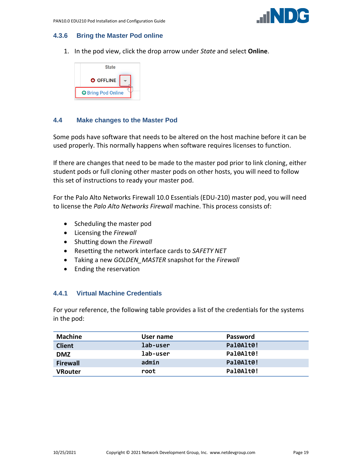

# <span id="page-18-0"></span>**4.3.6 Bring the Master Pod online**

1. In the pod view, click the drop arrow under *State* and select **Online**.



# <span id="page-18-1"></span>**4.4 Make changes to the Master Pod**

Some pods have software that needs to be altered on the host machine before it can be used properly. This normally happens when software requires licenses to function.

If there are changes that need to be made to the master pod prior to link cloning, either student pods or full cloning other master pods on other hosts, you will need to follow this set of instructions to ready your master pod.

For the Palo Alto Networks Firewall 10.0 Essentials (EDU-210) master pod, you will need to license the *Palo Alto Networks Firewall* machine. This process consists of:

- Scheduling the master pod
- Licensing the *Firewall*
- Shutting down the *Firewall*
- Resetting the network interface cards to *SAFETY NET*
- Taking a new *GOLDEN\_MASTER* snapshot for the *Firewall*
- Ending the reservation

# <span id="page-18-2"></span>**4.4.1 Virtual Machine Credentials**

For your reference, the following table provides a list of the credentials for the systems in the pod:

| <b>Machine</b>  | User name | <b>Password</b> |
|-----------------|-----------|-----------------|
| <b>Client</b>   | lab-user  | Pal0Alt0!       |
| <b>DMZ</b>      | lab-user  | Pal0Alt0!       |
| <b>Firewall</b> | admin     | Pal0Alt0!       |
| VRouter         | root      | Pal0Alt0!       |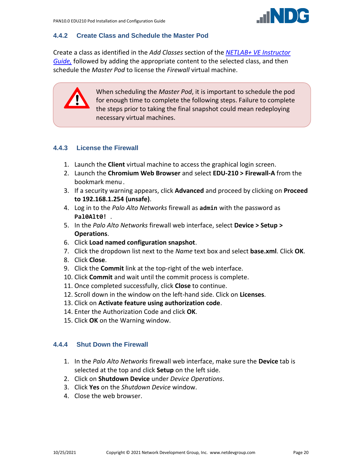

# <span id="page-19-0"></span>**4.4.2 Create Class and Schedule the Master Pod**

Create a class as identified in the *Add Classes* section of the *[NETLAB+ VE Instructor](https://www.netdevgroup.com/support/documentation/netlabve/netlabve_instructor_guide.pdf#nameddest=add_classes)  [Guide,](https://www.netdevgroup.com/support/documentation/netlabve/netlabve_instructor_guide.pdf#nameddest=add_classes)* followed by adding the appropriate content to the selected class, and then schedule the *Master Pod* to license the *Firewall* virtual machine.



When scheduling the *Master Pod*, it is important to schedule the pod for enough time to complete the following steps. Failure to complete the steps prior to taking the final snapshot could mean redeploying necessary virtual machines.

# <span id="page-19-1"></span>**4.4.3 License the Firewall**

- 1. Launch the **Client** virtual machine to access the graphical login screen.
- 2. Launch the **Chromium Web Browser** and select **EDU-210 > Firewall-A** from the bookmark menu**.**
- 3. If a security warning appears, click **Advanced** and proceed by clicking on **Proceed to 192.168.1.254 (unsafe)**.
- 4. Log in to the *Palo Alto Networks* firewall as **admin** with the password as **Pal0Alt0!** .
- 5. In the *Palo Alto Networks* firewall web interface, select **Device > Setup > Operations**.
- 6. Click **Load named configuration snapshot**.
- 7. Click the dropdown list next to the *Name* text box and select **base.xml**. Click **OK**.
- 8. Click **Close**.
- 9. Click the **Commit** link at the top-right of the web interface.
- 10. Click **Commit** and wait until the commit process is complete.
- 11. Once completed successfully, click **Close** to continue.
- 12. Scroll down in the window on the left-hand side. Click on **Licenses**.
- 13. Click on **Activate feature using authorization code**.
- 14. Enter the Authorization Code and click **OK**.
- 15. Click **OK** on the Warning window.

# <span id="page-19-2"></span>**4.4.4 Shut Down the Firewall**

- 1. In the *Palo Alto Networks* firewall web interface, make sure the **Device** tab is selected at the top and click **Setup** on the left side.
- 2. Click on **Shutdown Device** under *Device Operations*.
- 3. Click **Yes** on the *Shutdown Device* window.
- 4. Close the web browser.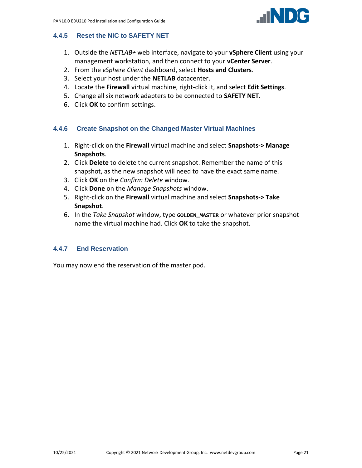

# <span id="page-20-0"></span>**4.4.5 Reset the NIC to SAFETY NET**

- 1. Outside the *NETLAB+* web interface, navigate to your **vSphere Client** using your management workstation, and then connect to your **vCenter Server**.
- 2. From the *vSphere Client* dashboard, select **Hosts and Clusters**.
- 3. Select your host under the **NETLAB** datacenter.
- 4. Locate the **Firewall** virtual machine, right-click it, and select **Edit Settings**.
- 5. Change all six network adapters to be connected to **SAFETY NET**.
- 6. Click **OK** to confirm settings.

#### <span id="page-20-1"></span>**4.4.6 Create Snapshot on the Changed Master Virtual Machines**

- 1. Right-click on the **Firewall** virtual machine and select **Snapshots-> Manage Snapshots**.
- 2. Click **Delete** to delete the current snapshot. Remember the name of this snapshot, as the new snapshot will need to have the exact same name.
- 3. Click **OK** on the *Confirm Delete* window.
- 4. Click **Done** on the *Manage Snapshots* window.
- 5. Right-click on the **Firewall** virtual machine and select **Snapshots-> Take Snapshot**.
- 6. In the *Take Snapshot* window, type GOLDEN\_MASTER or whatever prior snapshot name the virtual machine had. Click **OK** to take the snapshot.

#### <span id="page-20-2"></span>**4.4.7 End Reservation**

You may now end the reservation of the master pod.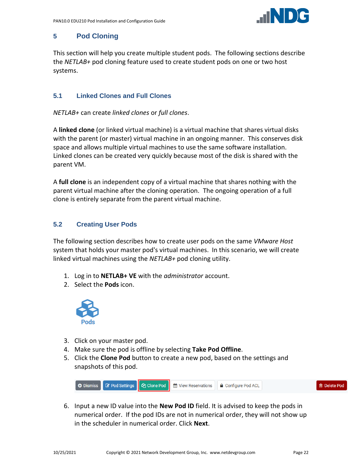

# <span id="page-21-0"></span>**5 Pod Cloning**

This section will help you create multiple student pods. The following sections describe the *NETLAB+* pod cloning feature used to create student pods on one or two host systems.

# <span id="page-21-1"></span>**5.1 Linked Clones and Full Clones**

*NETLAB+* can create *linked clones* or *full clones*.

A **linked clone** (or linked virtual machine) is a virtual machine that shares virtual disks with the parent (or master) virtual machine in an ongoing manner. This conserves disk space and allows multiple virtual machines to use the same software installation. Linked clones can be created very quickly because most of the disk is shared with the parent VM.

A **full clone** is an independent copy of a virtual machine that shares nothing with the parent virtual machine after the cloning operation. The ongoing operation of a full clone is entirely separate from the parent virtual machine.

# <span id="page-21-2"></span>**5.2 Creating User Pods**

The following section describes how to create user pods on the same *VMware Host* system that holds your master pod's virtual machines. In this scenario, we will create linked virtual machines using the *NETLAB+* pod cloning utility.

- 1. Log in to **NETLAB+ VE** with the *administrator* account.
- 2. Select the **Pods** icon.



- 3. Click on your master pod.
- 4. Make sure the pod is offline by selecting **Take Pod Offline**.
- 5. Click the **Clone Pod** button to create a new pod, based on the settings and snapshots of this pod.



6. Input a new ID value into the **New Pod ID** field. It is advised to keep the pods in numerical order. If the pod IDs are not in numerical order, they will not show up in the scheduler in numerical order. Click **Next**.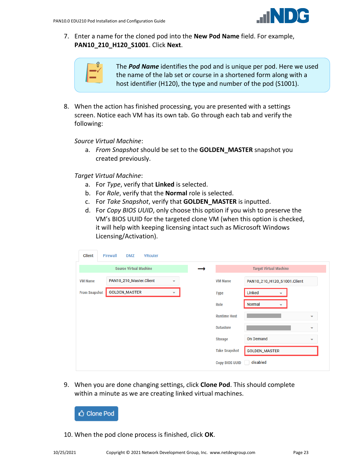

7. Enter a name for the cloned pod into the **New Pod Name** field. For example, **PAN10\_210\_H120\_S1001**. Click **Next**.



The *Pod Name* identifies the pod and is unique per pod. Here we used the name of the lab set or course in a shortened form along with a host identifier (H120), the type and number of the pod (S1001).

8. When the action has finished processing, you are presented with a settings screen. Notice each VM has its own tab. Go through each tab and verify the following:

*Source Virtual Machine*:

a. *From Snapshot* should be set to the **GOLDEN\_MASTER** snapshot you created previously.

*Target Virtual Machine*:

- a. For *Type*, verify that **Linked** is selected.
- b. For *Role*, verify that the **Normal** role is selected.
- c. For *Take Snapshot*, verify that **GOLDEN\_MASTER** is inputted.
- d. For *Copy BIOS UUID*, only choose this option if you wish to preserve the VM's BIOS UUID for the targeted clone VM (when this option is checked, it will help with keeping licensing intact such as Microsoft Windows Licensing/Activation).

| Client               | <b>Firewall</b><br><b>DMZ</b><br><b>VRouter</b> |   |                       |                                             |  |
|----------------------|-------------------------------------------------|---|-----------------------|---------------------------------------------|--|
|                      | <b>Source Virtual Machine</b>                   |   |                       | <b>Target Virtual Machine</b>               |  |
| <b>VM Name</b>       | PAN10_210_Master.Client                         | ۰ | <b>VM Name</b>        | PAN10_210_H120_S1001.Client                 |  |
| <b>From Snapshot</b> | <b>GOLDEN_MASTER</b>                            | ▼ | <b>Type</b>           | Linked<br>▼                                 |  |
|                      |                                                 |   | Role                  | <b>Normal</b><br>$\overline{\phantom{a}}$   |  |
|                      |                                                 |   | <b>Runtime Host</b>   | $\overline{\phantom{a}}$                    |  |
|                      |                                                 |   | <b>Datastore</b>      | $\overline{\mathbf{v}}$                     |  |
|                      |                                                 |   | <b>Storage</b>        | <b>On Demand</b><br>$\overline{\mathbf{v}}$ |  |
|                      |                                                 |   | <b>Take Snapshot</b>  | <b>GOLDEN_MASTER</b>                        |  |
|                      |                                                 |   | <b>Copy BIOS UUID</b> | disabled                                    |  |

9. When you are done changing settings, click **Clone Pod**. This should complete within a minute as we are creating linked virtual machines.



10. When the pod clone process is finished, click **OK**.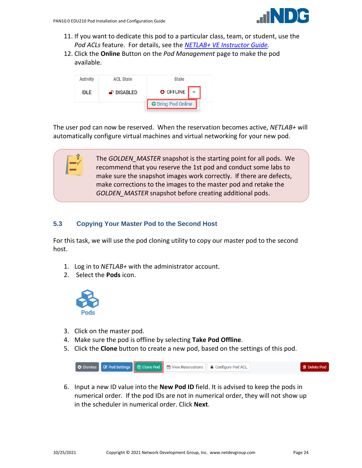

- 11. If you want to dedicate this pod to a particular class, team, or student, use the *Pod ACLs* feature. For details, see the *[NETLAB+ VE Instructor Guide.](http://www.netdevgroup.com/support/documentation/netlabve/netlabve_instructor_guide.pdf#nameddest=manage_pod_acls)*
- 12. Click the **Online** Button on the *Pod Management* page to make the pod available.



The user pod can now be reserved. When the reservation becomes active, *NETLAB+* will automatically configure virtual machines and virtual networking for your new pod.

> The *GOLDEN\_MASTER* snapshot is the starting point for all pods. We recommend that you reserve the 1st pod and conduct some labs to make sure the snapshot images work correctly. If there are defects, make corrections to the images to the master pod and retake the *GOLDEN\_MASTER* snapshot before creating additional pods.

# <span id="page-23-0"></span>**5.3 Copying Your Master Pod to the Second Host**

For this task, we will use the pod cloning utility to copy our master pod to the second host.

- 1. Log in to *NETLAB+* with the administrator account.
- 2. Select the **Pods** icon.



- 3. Click on the master pod.
- 4. Make sure the pod is offline by selecting **Take Pod Offline**.
- 5. Click the **Clone** button to create a new pod, based on the settings of this pod.



6. Input a new ID value into the **New Pod ID** field. It is advised to keep the pods in numerical order. If the pod IDs are not in numerical order, they will not show up in the scheduler in numerical order. Click **Next**.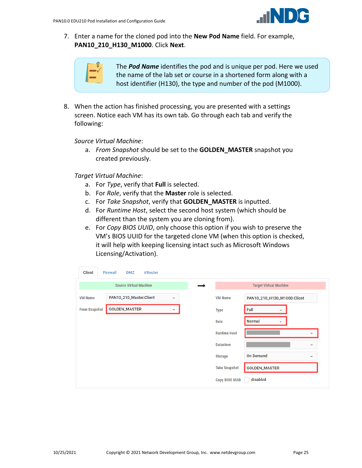

7. Enter a name for the cloned pod into the **New Pod Name** field. For example, **PAN10\_210\_H130\_M1000**. Click **Next**.



The *Pod Name* identifies the pod and is unique per pod. Here we used the name of the lab set or course in a shortened form along with a host identifier (H130), the type and number of the pod (M1000).

8. When the action has finished processing, you are presented with a settings screen. Notice each VM has its own tab. Go through each tab and verify the following:

*Source Virtual Machine*:

a. *From Snapshot* should be set to the **GOLDEN\_MASTER** snapshot you created previously.

*Target Virtual Machine*:

- a. For *Type*, verify that **Full** is selected.
- b. For *Role*, verify that the **Master** role is selected.
- c. For *Take Snapshot*, verify that **GOLDEN\_MASTER** is inputted.
- d. For *Runtime Host*, select the second host system (which should be different than the system you are cloning from).
- e. For *Copy BIOS UUID*, only choose this option if you wish to preserve the VM's BIOS UUID for the targeted clone VM (when this option is checked, it will help with keeping licensing intact such as Microsoft Windows Licensing/Activation).

| <b>Client</b>        | <b>Firewall</b><br><b>DMZ</b> | <b>VRouter</b> |                          |                       |                                  |                          |
|----------------------|-------------------------------|----------------|--------------------------|-----------------------|----------------------------------|--------------------------|
|                      | <b>Source Virtual Machine</b> |                |                          |                       | <b>Target Virtual Machine</b>    |                          |
| <b>VM Name</b>       | PAN10_210_Master.Client       |                | $\overline{\phantom{0}}$ | <b>VM Name</b>        | PAN10_210_H130_M1000.Client      |                          |
| <b>From Snapshot</b> | <b>GOLDEN_MASTER</b>          |                | $\overline{\phantom{a}}$ | <b>Type</b>           | Full<br>$\overline{\phantom{a}}$ |                          |
|                      |                               |                |                          | Role                  | Normal<br>▼                      |                          |
|                      |                               |                |                          | <b>Runtime Host</b>   |                                  | $\overline{\phantom{a}}$ |
|                      |                               |                |                          | <b>Datastore</b>      |                                  | $\overline{\phantom{a}}$ |
|                      |                               |                |                          | <b>Storage</b>        | <b>On Demand</b>                 | $\overline{\phantom{a}}$ |
|                      |                               |                |                          | <b>Take Snapshot</b>  | <b>GOLDEN_MASTER</b>             |                          |
|                      |                               |                |                          | <b>Copy BIOS UUID</b> | disabled                         |                          |